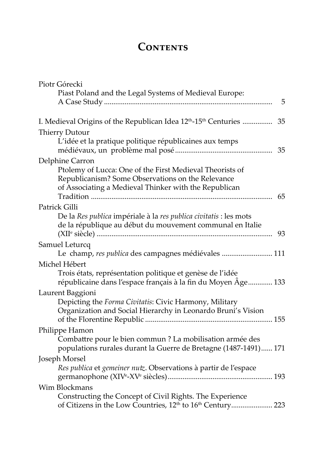## CONTENTS

| Piotr Górecki                                                                                                                                                          |    |
|------------------------------------------------------------------------------------------------------------------------------------------------------------------------|----|
| Piast Poland and the Legal Systems of Medieval Europe:                                                                                                                 |    |
|                                                                                                                                                                        | 5  |
| I. Medieval Origins of the Republican Idea 12 <sup>th</sup> -15 <sup>th</sup> Centuries  35                                                                            |    |
| <b>Thierry Dutour</b>                                                                                                                                                  |    |
| L'idée et la pratique politique républicaines aux temps                                                                                                                | 35 |
| Delphine Carron                                                                                                                                                        |    |
| Ptolemy of Lucca: One of the First Medieval Theorists of<br>Republicanism? Some Observations on the Relevance<br>of Associating a Medieval Thinker with the Republican | 65 |
| Patrick Gilli                                                                                                                                                          |    |
| De la Res publica impériale à la res publica civitatis : les mots<br>de la république au début du mouvement communal en Italie                                         | 93 |
| Samuel Leturcq                                                                                                                                                         |    |
| Le champ, res publica des campagnes médiévales  111                                                                                                                    |    |
| Michel Hébert                                                                                                                                                          |    |
| Trois états, représentation politique et genèse de l'idée<br>républicaine dans l'espace français à la fin du Moyen Âge 133                                             |    |
| Laurent Baggioni                                                                                                                                                       |    |
| Depicting the Forma Civitatis: Civic Harmony, Military<br>Organization and Social Hierarchy in Leonardo Bruni's Vision                                                 |    |
| Philippe Hamon                                                                                                                                                         |    |
| Combattre pour le bien commun ? La mobilisation armée des<br>populations rurales durant la Guerre de Bretagne (1487-1491) 171                                          |    |
| Joseph Morsel                                                                                                                                                          |    |
| Res publica et gemeiner nutz. Observations à partir de l'espace                                                                                                        |    |
| Wim Blockmans                                                                                                                                                          |    |
| Constructing the Concept of Civil Rights. The Experience                                                                                                               |    |